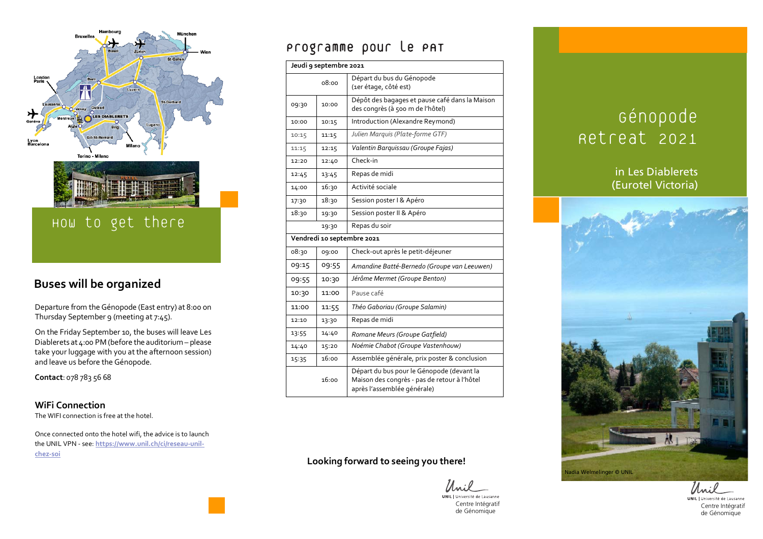

### **Buses will be organized**

Departure from the Génopode (East entry) at 8:00 on Thursday September 9 (meeting at 7:45).

On the Friday September 10, the buses will leave Les Diablerets at  $4:00$  PM (before the auditorium – please take your luggage with you at the afternoon session) and leave us before the Génopode.

**Contact**: 078 783 56 68

#### **WiFi Connection**

The WIFI connection is free at the hotel.

Once connected onto the hotel wifi, the advice is to launch the UNIL VPN - see: **https://www.unil.ch/ci/reseau-unilchez-soi**

## Programme pour le PAT

| Jeudi 9 septembre 2021     |       |                                                                                                                          |  |  |
|----------------------------|-------|--------------------------------------------------------------------------------------------------------------------------|--|--|
| 08:00                      |       | Départ du bus du Génopode<br>(1er étage, côté est)                                                                       |  |  |
| 09:30                      | 10:00 | Dépôt des bagages et pause café dans la Maison<br>des congrès (à 500 m de l'hôtel)                                       |  |  |
| 10:00                      | 10:15 | Introduction (Alexandre Reymond)                                                                                         |  |  |
| 10:15                      | 11:15 | Julien Marquis (Plate-forme GTF)                                                                                         |  |  |
| 11:15                      | 12:15 | Valentin Barquissau (Groupe Fajas)                                                                                       |  |  |
| 12:20                      | 12:40 | Check-in                                                                                                                 |  |  |
| 12:45                      | 13:45 | Repas de midi                                                                                                            |  |  |
| 14:00                      | 16:30 | Activité sociale                                                                                                         |  |  |
| 17:30                      | 18:30 | Session poster I & Apéro                                                                                                 |  |  |
| 18:30                      | 19:30 | Session poster II & Apéro                                                                                                |  |  |
|                            | 19:30 | Repas du soir                                                                                                            |  |  |
| Vendredi 10 septembre 2021 |       |                                                                                                                          |  |  |
| 08:30                      | 09:00 | Check-out après le petit-déjeuner                                                                                        |  |  |
| 09:15                      | 09:55 | Amandine Batté-Bernedo (Groupe van Leeuwen)                                                                              |  |  |
| 09:55                      | 10:30 | Jérôme Mermet (Groupe Benton)                                                                                            |  |  |
| 10:30                      | 11:00 | Pause café                                                                                                               |  |  |
| 11:00                      | 11:55 | Théo Gaboriau (Groupe Salamin)                                                                                           |  |  |
| 12:10                      | 13:30 | Repas de midi                                                                                                            |  |  |
| 13:55                      | 14:40 | Romane Meurs (Groupe Gatfield)                                                                                           |  |  |
| 14:40                      | 15:20 | Noémie Chabot (Groupe Vastenhouw)                                                                                        |  |  |
| 15:35                      | 16:00 | Assemblée générale, prix poster & conclusion                                                                             |  |  |
|                            | 16:00 | Départ du bus pour le Génopode (devant la<br>Maison des congrès - pas de retour à l'hôtel<br>après l'assemblée générale) |  |  |

#### **Looking forward to seeing you there!**

**UNIL** | Université de Lausanne Centre Intégratif

# Génopode Retreat 2021

### in Les Diablerets (Eurotel Victoria)



Unil UNIL | Université de Lausanne de Génomique Centre Intégratif de Génomique